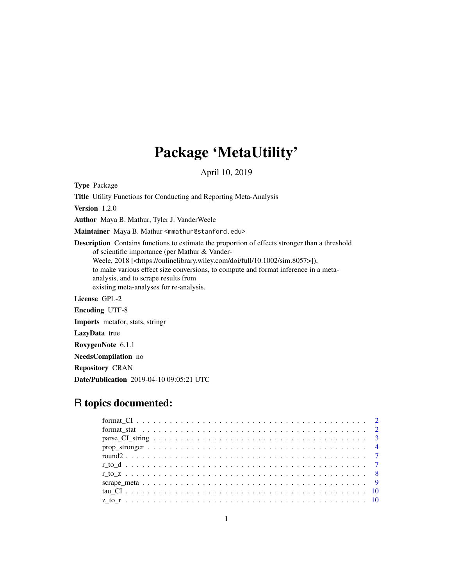## Package 'MetaUtility'

April 10, 2019

Type Package

Title Utility Functions for Conducting and Reporting Meta-Analysis Version 1.2.0 Author Maya B. Mathur, Tyler J. VanderWeele Maintainer Maya B. Mathur <mmathur@stanford.edu> Description Contains functions to estimate the proportion of effects stronger than a threshold of scientific importance (per Mathur & Vander-Weele, 2018 [<https://onlinelibrary.wiley.com/doi/full/10.1002/sim.8057>]), to make various effect size conversions, to compute and format inference in a metaanalysis, and to scrape results from existing meta-analyses for re-analysis. License GPL-2 Encoding UTF-8 Imports metafor, stats, stringr LazyData true RoxygenNote 6.1.1 NeedsCompilation no Repository CRAN

### R topics documented:

Date/Publication 2019-04-10 09:05:21 UTC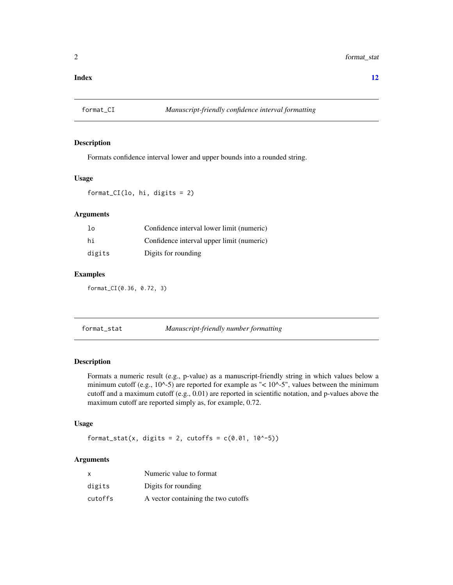#### <span id="page-1-0"></span>**Index** [12](#page-11-0)

#### Description

Formats confidence interval lower and upper bounds into a rounded string.

#### Usage

 $format_CI(lo, hi, digits = 2)$ 

#### Arguments

| lo     | Confidence interval lower limit (numeric) |
|--------|-------------------------------------------|
| hi     | Confidence interval upper limit (numeric) |
| digits | Digits for rounding                       |

#### Examples

format\_CI(0.36, 0.72, 3)

format\_stat *Manuscript-friendly number formatting*

#### Description

Formats a numeric result (e.g., p-value) as a manuscript-friendly string in which values below a minimum cutoff (e.g.,  $10^{\wedge}$ -5) are reported for example as "<  $10^{\wedge}$ -5", values between the minimum cutoff and a maximum cutoff (e.g., 0.01) are reported in scientific notation, and p-values above the maximum cutoff are reported simply as, for example, 0.72.

#### Usage

format\_stat(x, digits = 2, cutoffs =  $c(0.01, 10^x-5)$ )

#### Arguments

| x       | Numeric value to format             |
|---------|-------------------------------------|
| digits  | Digits for rounding                 |
| cutoffs | A vector containing the two cutoffs |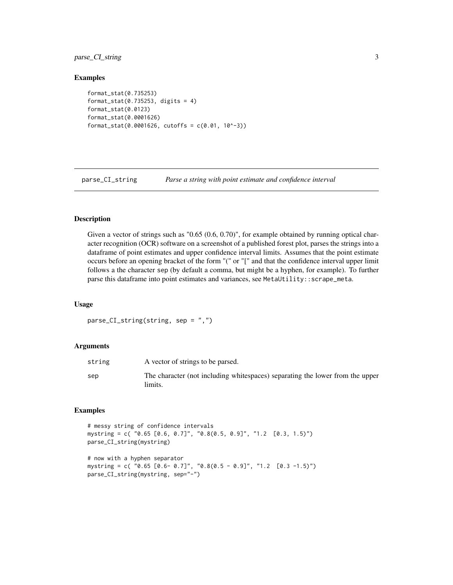<span id="page-2-0"></span>parse\_CI\_string 3

#### Examples

```
format_stat(0.735253)
format_stat(0.735253, digits = 4)
format_stat(0.0123)
format_stat(0.0001626)
format_stat(0.0001626, cutoffs = c(0.01, 10^-3))
```
parse\_CI\_string *Parse a string with point estimate and confidence interval*

#### Description

Given a vector of strings such as "0.65 (0.6, 0.70)", for example obtained by running optical character recognition (OCR) software on a screenshot of a published forest plot, parses the strings into a dataframe of point estimates and upper confidence interval limits. Assumes that the point estimate occurs before an opening bracket of the form "(" or "[" and that the confidence interval upper limit follows a the character sep (by default a comma, but might be a hyphen, for example). To further parse this dataframe into point estimates and variances, see MetaUtility::scrape\_meta.

#### Usage

```
parse_CI_string(string, sep = ",")
```
#### Arguments

| string | A vector of strings to be parsed.                                                        |
|--------|------------------------------------------------------------------------------------------|
| sep    | The character (not including whitespaces) separating the lower from the upper<br>limits. |

#### Examples

# messy string of confidence intervals mystring = c( "0.65 [0.6, 0.7]", "0.8(0.5, 0.9]", "1.2 [0.3, 1.5)") parse\_CI\_string(mystring)

# now with a hyphen separator mystring = c( "0.65 [0.6- 0.7]", "0.8(0.5 - 0.9]", "1.2 [0.3 -1.5)") parse\_CI\_string(mystring, sep="-")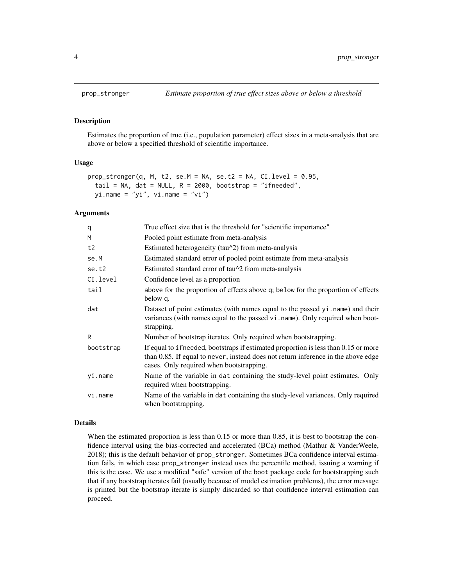#### Description

Estimates the proportion of true (i.e., population parameter) effect sizes in a meta-analysis that are above or below a specified threshold of scientific importance.

#### Usage

```
prop\_stronger(q, M, t2, se.M = NA, se.t2 = NA, CI. level = 0.95,tail = NA, dat = NULL, R = 2000, bootstrap = "ifneeded",
 yi.name = "yi", vi.name = "vi")
```
#### **Arguments**

| q         | True effect size that is the threshold for "scientific importance"                                                                                                                                                   |
|-----------|----------------------------------------------------------------------------------------------------------------------------------------------------------------------------------------------------------------------|
| M         | Pooled point estimate from meta-analysis                                                                                                                                                                             |
| t2        | Estimated heterogeneity (tau^2) from meta-analysis                                                                                                                                                                   |
| se.M      | Estimated standard error of pooled point estimate from meta-analysis                                                                                                                                                 |
| se.t2     | Estimated standard error of tau <sup><math>\wedge</math>2 from meta-analysis</sup>                                                                                                                                   |
| CI.level  | Confidence level as a proportion                                                                                                                                                                                     |
| tail      | above for the proportion of effects above q; below for the proportion of effects<br>below q.                                                                                                                         |
| dat       | Dataset of point estimates (with names equal to the passed y i . name) and their<br>variances (with names equal to the passed vi. name). Only required when boot-<br>strapping.                                      |
| R         | Number of bootstrap iterates. Only required when bootstrapping.                                                                                                                                                      |
| bootstrap | If equal to if needed, bootstraps if estimated proportion is less than 0.15 or more<br>than 0.85. If equal to never, instead does not return inference in the above edge<br>cases. Only required when bootstrapping. |
| yi.name   | Name of the variable in dat containing the study-level point estimates. Only<br>required when bootstrapping.                                                                                                         |
| vi.name   | Name of the variable in dat containing the study-level variances. Only required<br>when bootstrapping.                                                                                                               |

#### Details

When the estimated proportion is less than 0.15 or more than 0.85, it is best to bootstrap the confidence interval using the bias-corrected and accelerated (BCa) method (Mathur & VanderWeele, 2018); this is the default behavior of prop\_stronger. Sometimes BCa confidence interval estimation fails, in which case prop\_stronger instead uses the percentile method, issuing a warning if this is the case. We use a modified "safe" version of the boot package code for bootstrapping such that if any bootstrap iterates fail (usually because of model estimation problems), the error message is printed but the bootstrap iterate is simply discarded so that confidence interval estimation can proceed.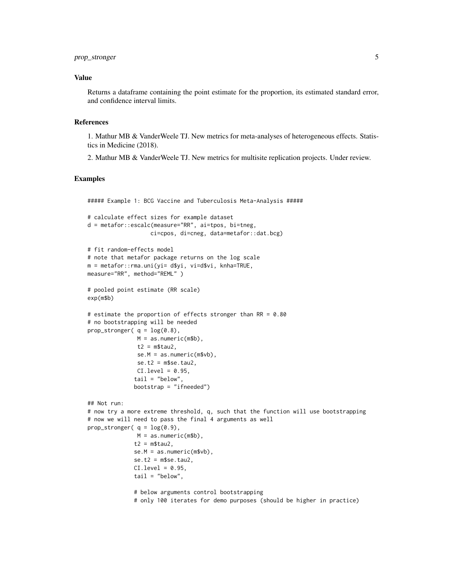#### Value

Returns a dataframe containing the point estimate for the proportion, its estimated standard error, and confidence interval limits.

#### References

1. Mathur MB & VanderWeele TJ. New metrics for meta-analyses of heterogeneous effects. Statistics in Medicine (2018).

2. Mathur MB & VanderWeele TJ. New metrics for multisite replication projects. Under review.

#### Examples

```
##### Example 1: BCG Vaccine and Tuberculosis Meta-Analysis #####
# calculate effect sizes for example dataset
d = metafor::escalc(measure="RR", ai=tpos, bi=tneg,
                   ci=cpos, di=cneg, data=metafor::dat.bcg)
# fit random-effects model
# note that metafor package returns on the log scale
m = metafor::rma.uni(yi= d$yi, vi=d$vi, knha=TRUE,
measure="RR", method="REML" )
# pooled point estimate (RR scale)
exp(m$b)
# estimate the proportion of effects stronger than RR = 0.80
# no bootstrapping will be needed
prop_stronger(q = log(0.8),
               M = as.numeric(m$b),
               t2 = m$tau2.
               se.M = as.numeric(m$vb),se.t2 = m$se.tau2,CI. level = 0.95,
              tail = "below",
              bootstrap = "ifneeded")
## Not run:
# now try a more extreme threshold, q, such that the function will use bootstrapping
# now we will need to pass the final 4 arguments as well
prop_stronger(q = log(0.9),
              M = as.numeric(m$b),
              t2 = m$tau2,se.M = as.numeric(m$vb),se.t2 = m$se.tau2,CI. level = 0.95,tail = "below",
              # below arguments control bootstrapping
              # only 100 iterates for demo purposes (should be higher in practice)
```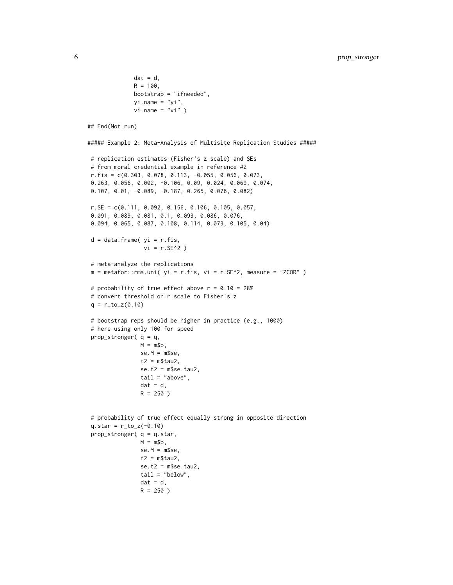```
dat = d,
             R = 100,
             bootstrap = "ifneeded",
             yi.name = "yi",vi.name = "vi" )## End(Not run)
##### Example 2: Meta-Analysis of Multisite Replication Studies #####
# replication estimates (Fisher's z scale) and SEs
# from moral credential example in reference #2
r.fis = c(0.303, 0.078, 0.113, -0.055, 0.056, 0.073,
0.263, 0.056, 0.002, -0.106, 0.09, 0.024, 0.069, 0.074,
0.107, 0.01, -0.089, -0.187, 0.265, 0.076, 0.082)
r.SE = c(0.111, 0.092, 0.156, 0.106, 0.105, 0.057,
0.091, 0.089, 0.081, 0.1, 0.093, 0.086, 0.076,
0.094, 0.065, 0.087, 0.108, 0.114, 0.073, 0.105, 0.04)
d = data-frame(yi = r.fis,vi = r.SE^2# meta-analyze the replications
m = metafor::rma.uni( yi = r.fis, vi = r.SE^2, measure = "ZCOR" )# probability of true effect above r = 0.10 = 28%# convert threshold on r scale to Fisher's z
q = r_to_z(0.10)# bootstrap reps should be higher in practice (e.g., 1000)
# here using only 100 for speed
prop_stronger(q = q,
               M = m$b,se.M = m$se,
               t2 = m$tauu2,se.t2 = m$se.tau2,
               tail = "above",dat = d,R = 250# probability of true effect equally strong in opposite direction
q.star = r_to_z(-0.10)prop_stronger( q = q.star,
               M = m$b,se.M = m$se,
               t2 = m$tau2,se.t2 = m$se.tau2,tail = "below",dat = d,R = 250)
```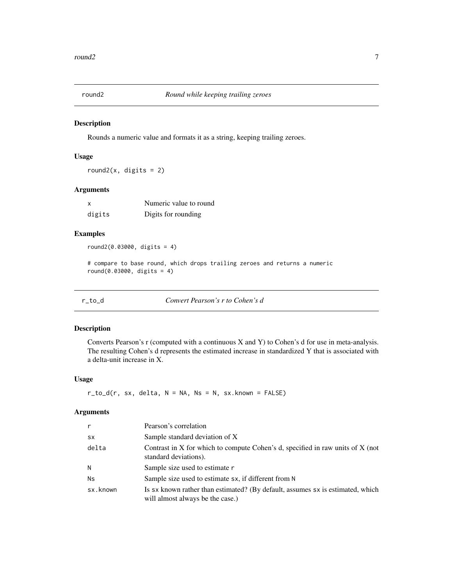<span id="page-6-0"></span>

#### Description

Rounds a numeric value and formats it as a string, keeping trailing zeroes.

#### Usage

round2( $x$ , digits = 2)

#### Arguments

| x      | Numeric value to round |
|--------|------------------------|
| digits | Digits for rounding    |

#### Examples

```
round2(0.03000, digits = 4)
```
# compare to base round, which drops trailing zeroes and returns a numeric round(0.03000, digits = 4)

r\_to\_d *Convert Pearson's r to Cohen's d*

#### Description

Converts Pearson's r (computed with a continuous X and Y) to Cohen's d for use in meta-analysis. The resulting Cohen's d represents the estimated increase in standardized Y that is associated with a delta-unit increase in X.

#### Usage

 $r_to_d(r, sx, delta, N = NA, Ns = N, sx.known = FALSE)$ 

#### Arguments

| r         | Pearson's correlation                                                                                              |
|-----------|--------------------------------------------------------------------------------------------------------------------|
| <b>SX</b> | Sample standard deviation of X                                                                                     |
| delta     | Contrast in X for which to compute Cohen's d, specified in raw units of X (not<br>standard deviations).            |
| N         | Sample size used to estimate r                                                                                     |
| <b>Ns</b> | Sample size used to estimate sx, if different from N                                                               |
| sx.known  | Is sx known rather than estimated? (By default, assumes sx is estimated, which<br>will almost always be the case.) |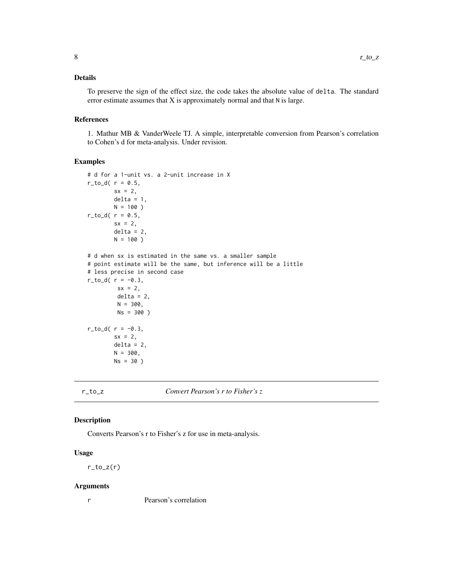#### <span id="page-7-0"></span>Details

To preserve the sign of the effect size, the code takes the absolute value of delta. The standard error estimate assumes that X is approximately normal and that N is large.

#### References

1. Mathur MB & VanderWeele TJ. A simple, interpretable conversion from Pearson's correlation to Cohen's d for meta-analysis. Under revision.

#### Examples

```
# d for a 1-unit vs. a 2-unit increase in X
r_t = 0.5,
       sx = 2,
       delta = 1,
       N = 100r\_to\_d( r = 0.5,
       sx = 2,
       delta = 2,
       N = 100)
# d when sx is estimated in the same vs. a smaller sample
# point estimate will be the same, but inference will be a little
# less precise in second case
r_t = -0.3,
        sx = 2,
        delta = 2,
        N = 300.
        Ns = 300)
r_t = -0.3,
       sx = 2,
       delta = 2,
       N = 300,
       Ns = 30 )
```
r\_to\_z *Convert Pearson's r to Fisher's z*

#### Description

Converts Pearson's r to Fisher's z for use in meta-analysis.

#### Usage

 $r_to_z(r)$ 

#### Arguments

r Pearson's correlation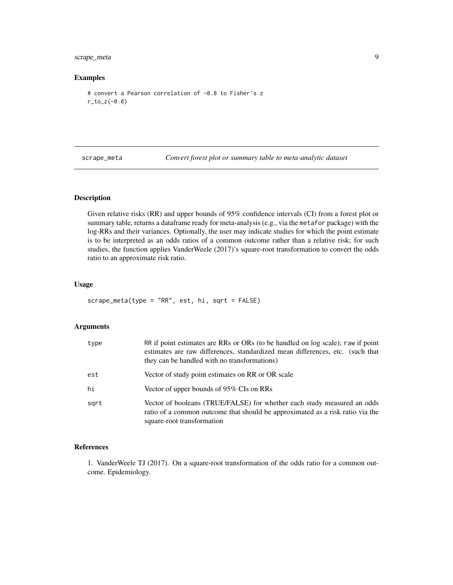#### <span id="page-8-0"></span>scrape\_meta 9

#### Examples

```
# convert a Pearson correlation of -0.8 to Fisher's z
r_t_0_2(-0.8)
```
scrape\_meta *Convert forest plot or summary table to meta-analytic dataset*

#### Description

Given relative risks (RR) and upper bounds of 95% confidence intervals (CI) from a forest plot or summary table, returns a dataframe ready for meta-analysis (e.g., via the metafor package) with the log-RRs and their variances. Optionally, the user may indicate studies for which the point estimate is to be interpreted as an odds ratios of a common outcome rather than a relative risk; for such studies, the function applies VanderWeele (2017)'s square-root transformation to convert the odds ratio to an approximate risk ratio.

#### Usage

```
scrape_meta(type = "RR", est, hi, sqrt = FALSE)
```
#### Arguments

| type | RR if point estimates are RRs or ORs (to be handled on log scale); raw if point<br>estimates are raw differences, standardized mean differences, etc. (such that<br>they can be handled with no transformations) |
|------|------------------------------------------------------------------------------------------------------------------------------------------------------------------------------------------------------------------|
| est  | Vector of study point estimates on RR or OR scale                                                                                                                                                                |
| hi   | Vector of upper bounds of 95% CIs on RRs                                                                                                                                                                         |
| sqrt | Vector of booleans (TRUE/FALSE) for whether each study measured an odds<br>ratio of a common outcome that should be approximated as a risk ratio via the<br>square-root transformation                           |

#### References

1. VanderWeele TJ (2017). On a square-root transformation of the odds ratio for a common outcome. Epidemiology.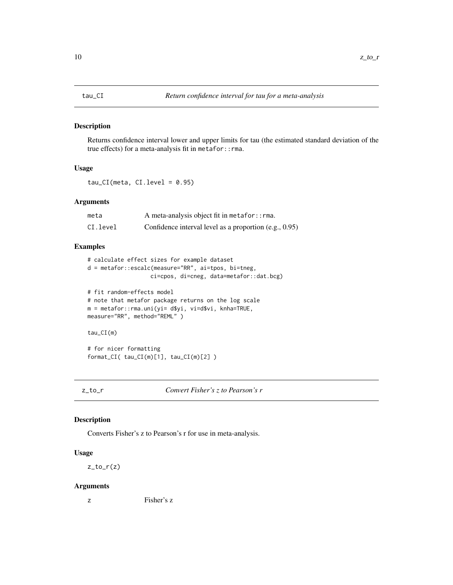#### <span id="page-9-0"></span>Description

Returns confidence interval lower and upper limits for tau (the estimated standard deviation of the true effects) for a meta-analysis fit in metafor:: rma.

#### Usage

 $tau_CI(meta, CI.level = 0.95)$ 

#### Arguments

| meta     | A meta-analysis object fit in metafor:: rma.           |
|----------|--------------------------------------------------------|
| CI.level | Confidence interval level as a proportion (e.g., 0.95) |

#### Examples

```
# calculate effect sizes for example dataset
d = metafor::escalc(measure="RR", ai=tpos, bi=tneg,
                   ci=cpos, di=cneg, data=metafor::dat.bcg)
# fit random-effects model
# note that metafor package returns on the log scale
m = metafor::rma.uni(yi= d$yi, vi=d$vi, knha=TRUE,
measure="RR", method="REML" )
tau_CI(m)
```

```
# for nicer formatting
format_CI( tau_CI(m)[1], tau_CI(m)[2] )
```
#### z\_to\_r *Convert Fisher's z to Pearson's r*

#### Description

Converts Fisher's z to Pearson's r for use in meta-analysis.

#### Usage

 $z_t$ <sub>to\_r</sub> $(z)$ 

#### Arguments

z Fisher's z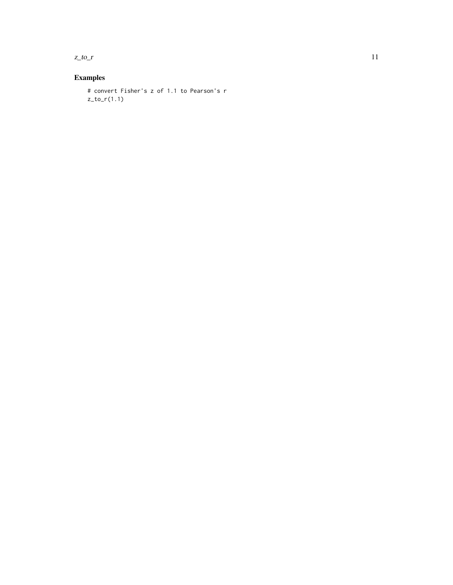$z_to_r$  11

#### Examples

# convert Fisher's z of 1.1 to Pearson's r z\_to\_r(1.1)